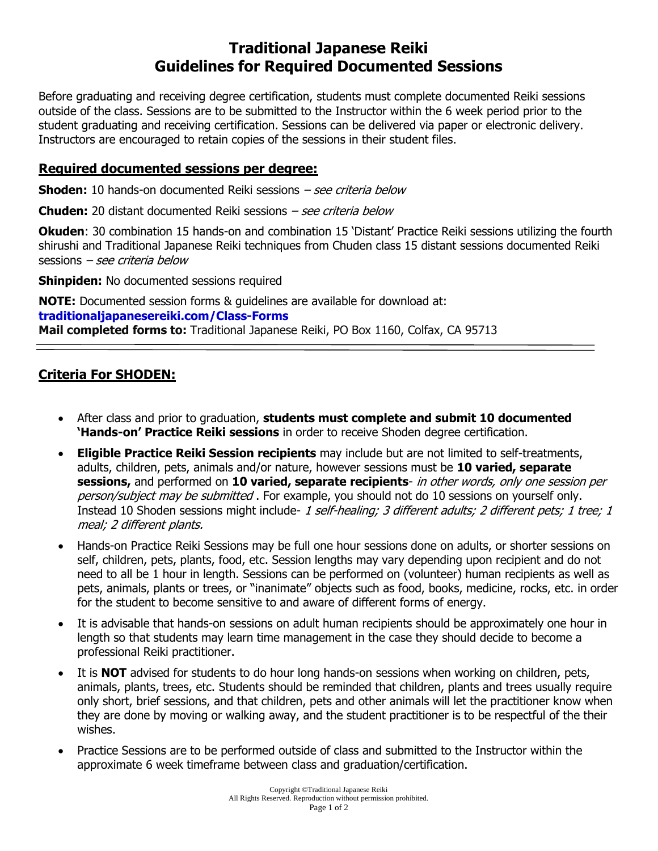# **Traditional Japanese Reiki Guidelines for Required Documented Sessions**

Before graduating and receiving degree certification, students must complete documented Reiki sessions outside of the class. Sessions are to be submitted to the Instructor within the 6 week period prior to the student graduating and receiving certification. Sessions can be delivered via paper or electronic delivery. Instructors are encouraged to retain copies of the sessions in their student files.

### **Required documented sessions per degree:**

**Shoden:** 10 hands-on documented Reiki sessions – see criteria below

**Chuden:** 20 distant documented Reiki sessions – see criteria below

**Okuden**: 30 combination 15 hands-on and combination 15 'Distant' Practice Reiki sessions utilizing the fourth shirushi and Traditional Japanese Reiki techniques from Chuden class 15 distant sessions documented Reiki sessions – see criteria below

**Shinpiden:** No documented sessions required

**NOTE:** Documented session forms & guidelines are available for download at: **traditionaljapanesereiki.com/Class-Forms Mail completed forms to:** Traditional Japanese Reiki, PO Box 1160, Colfax, CA 95713

# **Criteria For SHODEN:**

- After class and prior to graduation, **students must complete and submit 10 documented 'Hands-on' Practice Reiki sessions** in order to receive Shoden degree certification.
- **Eligible Practice Reiki Session recipients** may include but are not limited to self-treatments, adults, children, pets, animals and/or nature, however sessions must be **10 varied, separate sessions,** and performed on **10 varied, separate recipients**- in other words, only one session per person/subject may be submitted. For example, you should not do 10 sessions on yourself only. Instead 10 Shoden sessions might include- 1 self-healing; 3 different adults; 2 different pets; 1 tree; 1 meal; 2 different plants.
- Hands-on Practice Reiki Sessions may be full one hour sessions done on adults, or shorter sessions on self, children, pets, plants, food, etc. Session lengths may vary depending upon recipient and do not need to all be 1 hour in length. Sessions can be performed on (volunteer) human recipients as well as pets, animals, plants or trees, or "inanimate" objects such as food, books, medicine, rocks, etc. in order for the student to become sensitive to and aware of different forms of energy.
- It is advisable that hands-on sessions on adult human recipients should be approximately one hour in length so that students may learn time management in the case they should decide to become a professional Reiki practitioner.
- It is **NOT** advised for students to do hour long hands-on sessions when working on children, pets, animals, plants, trees, etc. Students should be reminded that children, plants and trees usually require only short, brief sessions, and that children, pets and other animals will let the practitioner know when they are done by moving or walking away, and the student practitioner is to be respectful of the their wishes.
- Practice Sessions are to be performed outside of class and submitted to the Instructor within the approximate 6 week timeframe between class and graduation/certification.